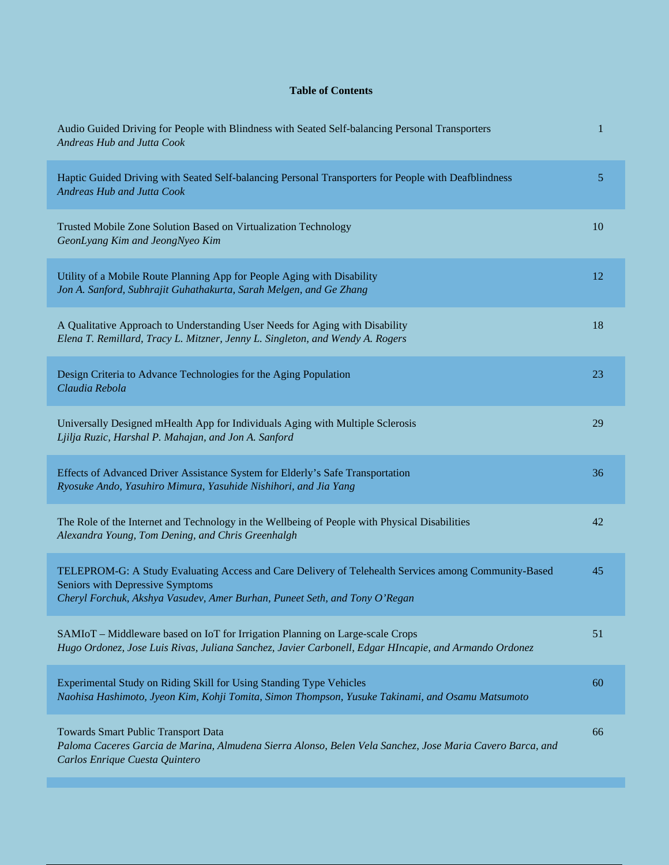## **Table of Contents**

| Audio Guided Driving for People with Blindness with Seated Self-balancing Personal Transporters<br>Andreas Hub and Jutta Cook                                                                                          | 1  |
|------------------------------------------------------------------------------------------------------------------------------------------------------------------------------------------------------------------------|----|
| Haptic Guided Driving with Seated Self-balancing Personal Transporters for People with Deafblindness<br>Andreas Hub and Jutta Cook                                                                                     | 5  |
| Trusted Mobile Zone Solution Based on Virtualization Technology<br>GeonLyang Kim and JeongNyeo Kim                                                                                                                     | 10 |
| Utility of a Mobile Route Planning App for People Aging with Disability<br>Jon A. Sanford, Subhrajit Guhathakurta, Sarah Melgen, and Ge Zhang                                                                          | 12 |
| A Qualitative Approach to Understanding User Needs for Aging with Disability<br>Elena T. Remillard, Tracy L. Mitzner, Jenny L. Singleton, and Wendy A. Rogers                                                          | 18 |
| Design Criteria to Advance Technologies for the Aging Population<br>Claudia Rebola                                                                                                                                     | 23 |
| Universally Designed mHealth App for Individuals Aging with Multiple Sclerosis<br>Ljilja Ruzic, Harshal P. Mahajan, and Jon A. Sanford                                                                                 | 29 |
| Effects of Advanced Driver Assistance System for Elderly's Safe Transportation<br>Ryosuke Ando, Yasuhiro Mimura, Yasuhide Nishihori, and Jia Yang                                                                      | 36 |
| The Role of the Internet and Technology in the Wellbeing of People with Physical Disabilities<br>Alexandra Young, Tom Dening, and Chris Greenhalgh                                                                     | 42 |
| TELEPROM-G: A Study Evaluating Access and Care Delivery of Telehealth Services among Community-Based<br>Seniors with Depressive Symptoms<br>Cheryl Forchuk, Akshya Vasudev, Amer Burhan, Puneet Seth, and Tony O'Regan | 45 |
| SAMIoT – Middleware based on IoT for Irrigation Planning on Large-scale Crops<br>Hugo Ordonez, Jose Luis Rivas, Juliana Sanchez, Javier Carbonell, Edgar HIncapie, and Armando Ordonez                                 | 51 |
| Experimental Study on Riding Skill for Using Standing Type Vehicles<br>Naohisa Hashimoto, Jyeon Kim, Kohji Tomita, Simon Thompson, Yusuke Takinami, and Osamu Matsumoto                                                | 60 |
| Towards Smart Public Transport Data<br>Paloma Caceres Garcia de Marina, Almudena Sierra Alonso, Belen Vela Sanchez, Jose Maria Cavero Barca, and<br>Carlos Enrique Cuesta Quintero                                     | 66 |